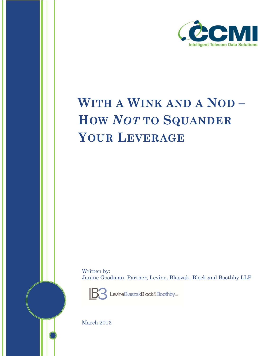

## **WITH A WINK AND A NOD – HOW** *NOT* **TO SQUANDER YOUR LEVERAGE**

Written by: Janine Goodman, Partner, Levine, Blaszak, Block and Boothby LLP



LevineBlaszakBlock&Boothbyue

March 2013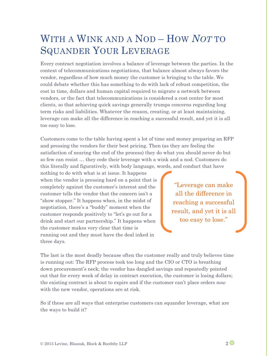## WITH A WINK AND A NOD – HOW *NOT* TO SQUANDER YOUR LEVERAGE

Every contract negotiation involves a balance of leverage between the parties. In the context of telecommunications negotiations, that balance almost always favors the vendor, regardless of how much money the customer is bringing to the table. We could debate whether this has something to do with lack of robust competition, the cost in time, dollars and human capital required to migrate a network between vendors, or the fact that telecommunications is considered a cost center for most clients, so that achieving quick savings generally trumps concerns regarding long term risks and liabilities. Whatever the reason, creating, or at least maintaining, leverage can make all the difference in reaching a successful result, and yet it is all too easy to lose.

Customers come to the table having spent a lot of time and money preparing an RFP and pressing the vendors for their best pricing. Then (as they are feeling the satisfaction of nearing the end of the process) they do what you should never do but so few can resist … they cede their leverage with a wink and a nod. Customers do this literally and figuratively, with body language, words, and conduct that have

nothing to do with what is at issue. It happens when the vendor is pressing hard on a point that is completely against the customer's interest and the customer tells the vendor that the concern isn't a "show stopper." It happens when, in the midst of negotiation, there's a "buddy" moment when the customer responds positively to "let's go out for a drink and start our partnership." It happens when the customer makes very clear that time is running out and they must have the deal inked in three days.

"Leverage can make all the difference in reaching a successful result, and yet it is all too easy to lose."

The last is the most deadly because often the customer really and truly believes time is running out: The RFP process took too long and the CIO or CTO is breathing down procurement's neck; the vendor has dangled savings and repeatedly pointed out that for every week of delay in contract execution, the customer is losing dollars; the existing contract is about to expire and if the customer can't place orders *now* with the new vendor, operations are at risk.

So if these are all ways that enterprise customers can squander leverage, what are the ways to build it?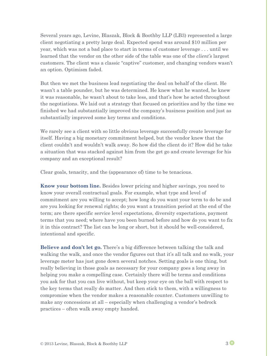Several years ago, Levine, Blaszak, Block & Boothby LLP (LB3) represented a large client negotiating a pretty large deal. Expected spend was around \$10 million per year, which was not a bad place to start in terms of customer leverage . . . until we learned that the vendor on the other side of the table was one of the *client's* largest customers. The client was a classic "captive" customer, and changing vendors wasn't an option. Optimism faded.

But then we met the business lead negotiating the deal on behalf of the client. He wasn't a table pounder, but he was determined. He knew what he wanted, he knew it was reasonable, he wasn't about to take less, and that's how he acted throughout the negotiations. We laid out a strategy that focused on priorities and by the time we finished we had substantially improved the company's business position and just as substantially improved some key terms and conditions.

We rarely see a client with so little obvious leverage successfully create leverage for itself. Having a big monetary commitment helped, but the vendor knew that the client couldn't and wouldn't walk away. So how did the client do it? How did he take a situation that was stacked against him from the get go and create leverage for his company and an exceptional result?

Clear goals, tenacity, and the (appearance of) time to be tenacious.

**Know your bottom line.** Besides lower pricing and higher savings, you need to know your overall contractual goals. For example, what type and level of commitment are you willing to accept; how long do you want your term to do be and are you looking for renewal rights; do you want a transition period at the end of the term; are there specific service level expectations, diversity expectations, payment terms that you need; where have you been burned before and how do you want to fix it in this contract? The list can be long or short, but it should be well-considered, intentional and specific.

**Believe and don't let go.** There's a big difference between talking the talk and walking the walk, and once the vendor figures out that it's all talk and no walk, your leverage meter has just gone down several notches. Setting goals is one thing, but really believing in those goals as necessary for your company goes a long away in helping you make a compelling case. Certainly there will be terms and conditions you ask for that you can live without, but keep your eye on the ball with respect to the key terms that really do matter. And then stick to them, with a willingness to compromise when the vendor makes a reasonable counter. Customers unwilling to make any concessions at all – especially when challenging a vendor's bedrock practices – often walk away empty handed.